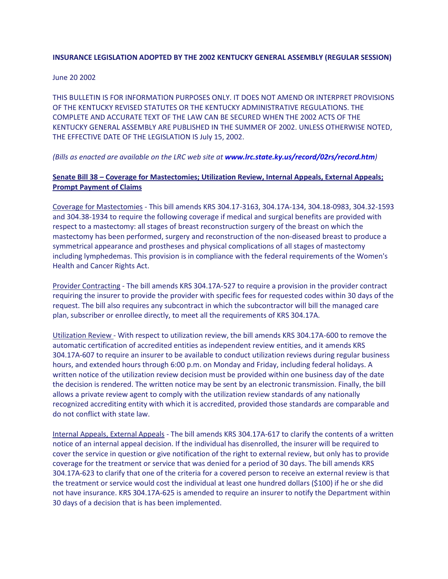# **INSURANCE LEGISLATION ADOPTED BY THE 2002 KENTUCKY GENERAL ASSEMBLY (REGULAR SESSION)**

### June 20 2002

THIS BULLETIN IS FOR INFORMATION PURPOSES ONLY. IT DOES NOT AMEND OR INTERPRET PROVISIONS OF THE KENTUCKY REVISED STATUTES OR THE KENTUCKY ADMINISTRATIVE REGULATIONS. THE COMPLETE AND ACCURATE TEXT OF THE LAW CAN BE SECURED WHEN THE 2002 ACTS OF THE KENTUCKY GENERAL ASSEMBLY ARE PUBLISHED IN THE SUMMER OF 2002. UNLESS OTHERWISE NOTED, THE EFFECTIVE DATE OF THE LEGISLATION IS July 15, 2002.

# *(Bills as enacted are available on the LRC web site at [www.lrc.state.ky.us/record/02rs/record.htm](http://doi.ppr.ky.gov/kentucky/outside.asp?urlstr=%22http://www.lrc.state.ky.us/%22))*

# **Senate Bill 38 – Coverage for Mastectomies; Utilization Review, Internal Appeals, External Appeals; Prompt Payment of Claims**

Coverage for Mastectomies - This bill amends KRS 304.17-3163, 304.17A-134, 304.18-0983, 304.32-1593 and 304.38-1934 to require the following coverage if medical and surgical benefits are provided with respect to a mastectomy: all stages of breast reconstruction surgery of the breast on which the mastectomy has been performed, surgery and reconstruction of the non-diseased breast to produce a symmetrical appearance and prostheses and physical complications of all stages of mastectomy including lymphedemas. This provision is in compliance with the federal requirements of the Women's Health and Cancer Rights Act.

Provider Contracting - The bill amends KRS 304.17A-527 to require a provision in the provider contract requiring the insurer to provide the provider with specific fees for requested codes within 30 days of the request. The bill also requires any subcontract in which the subcontractor will bill the managed care plan, subscriber or enrollee directly, to meet all the requirements of KRS 304.17A.

Utilization Review - With respect to utilization review, the bill amends KRS 304.17A-600 to remove the automatic certification of accredited entities as independent review entities, and it amends KRS 304.17A-607 to require an insurer to be available to conduct utilization reviews during regular business hours, and extended hours through 6:00 p.m. on Monday and Friday, including federal holidays. A written notice of the utilization review decision must be provided within one business day of the date the decision is rendered. The written notice may be sent by an electronic transmission. Finally, the bill allows a private review agent to comply with the utilization review standards of any nationally recognized accrediting entity with which it is accredited, provided those standards are comparable and do not conflict with state law.

Internal Appeals, External Appeals - The bill amends KRS 304.17A-617 to clarify the contents of a written notice of an internal appeal decision. If the individual has disenrolled, the insurer will be required to cover the service in question or give notification of the right to external review, but only has to provide coverage for the treatment or service that was denied for a period of 30 days. The bill amends KRS 304.17A-623 to clarify that one of the criteria for a covered person to receive an external review is that the treatment or service would cost the individual at least one hundred dollars (\$100) if he or she did not have insurance. KRS 304.17A-625 is amended to require an insurer to notify the Department within 30 days of a decision that is has been implemented.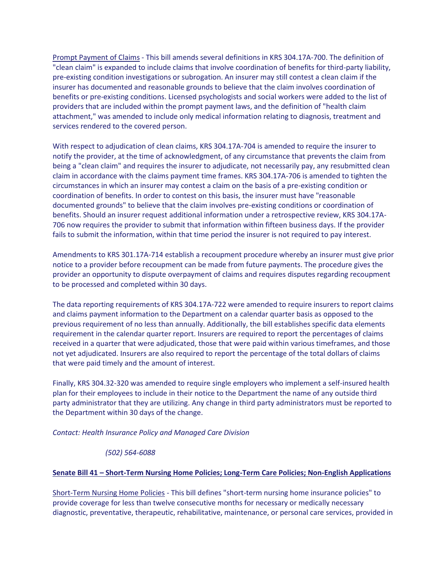Prompt Payment of Claims - This bill amends several definitions in KRS 304.17A-700. The definition of "clean claim" is expanded to include claims that involve coordination of benefits for third-party liability, pre-existing condition investigations or subrogation. An insurer may still contest a clean claim if the insurer has documented and reasonable grounds to believe that the claim involves coordination of benefits or pre-existing conditions. Licensed psychologists and social workers were added to the list of providers that are included within the prompt payment laws, and the definition of "health claim attachment," was amended to include only medical information relating to diagnosis, treatment and services rendered to the covered person.

With respect to adjudication of clean claims, KRS 304.17A-704 is amended to require the insurer to notify the provider, at the time of acknowledgment, of any circumstance that prevents the claim from being a "clean claim" and requires the insurer to adjudicate, not necessarily pay, any resubmitted clean claim in accordance with the claims payment time frames. KRS 304.17A-706 is amended to tighten the circumstances in which an insurer may contest a claim on the basis of a pre-existing condition or coordination of benefits. In order to contest on this basis, the insurer must have "reasonable documented grounds" to believe that the claim involves pre-existing conditions or coordination of benefits. Should an insurer request additional information under a retrospective review, KRS 304.17A-706 now requires the provider to submit that information within fifteen business days. If the provider fails to submit the information, within that time period the insurer is not required to pay interest.

Amendments to KRS 301.17A-714 establish a recoupment procedure whereby an insurer must give prior notice to a provider before recoupment can be made from future payments. The procedure gives the provider an opportunity to dispute overpayment of claims and requires disputes regarding recoupment to be processed and completed within 30 days.

The data reporting requirements of KRS 304.17A-722 were amended to require insurers to report claims and claims payment information to the Department on a calendar quarter basis as opposed to the previous requirement of no less than annually. Additionally, the bill establishes specific data elements requirement in the calendar quarter report. Insurers are required to report the percentages of claims received in a quarter that were adjudicated, those that were paid within various timeframes, and those not yet adjudicated. Insurers are also required to report the percentage of the total dollars of claims that were paid timely and the amount of interest.

Finally, KRS 304.32-320 was amended to require single employers who implement a self-insured health plan for their employees to include in their notice to the Department the name of any outside third party administrator that they are utilizing. Any change in third party administrators must be reported to the Department within 30 days of the change.

*Contact: Health Insurance Policy and Managed Care Division*

# *(502) 564-6088*

# **Senate Bill 41 – Short-Term Nursing Home Policies; Long-Term Care Policies; Non-English Applications**

Short-Term Nursing Home Policies - This bill defines "short-term nursing home insurance policies" to provide coverage for less than twelve consecutive months for necessary or medically necessary diagnostic, preventative, therapeutic, rehabilitative, maintenance, or personal care services, provided in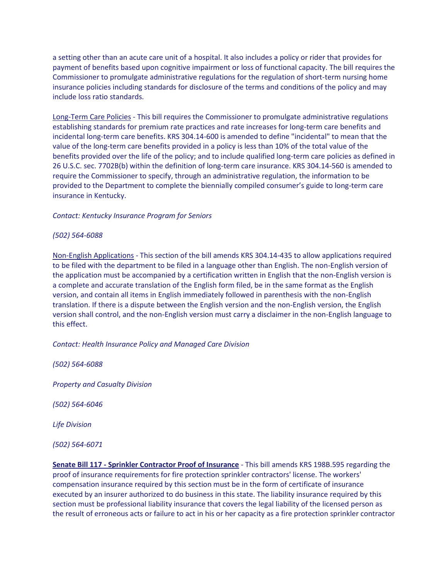a setting other than an acute care unit of a hospital. It also includes a policy or rider that provides for payment of benefits based upon cognitive impairment or loss of functional capacity. The bill requires the Commissioner to promulgate administrative regulations for the regulation of short-term nursing home insurance policies including standards for disclosure of the terms and conditions of the policy and may include loss ratio standards.

Long-Term Care Policies - This bill requires the Commissioner to promulgate administrative regulations establishing standards for premium rate practices and rate increases for long-term care benefits and incidental long-term care benefits. KRS 304.14-600 is amended to define "incidental" to mean that the value of the long-term care benefits provided in a policy is less than 10% of the total value of the benefits provided over the life of the policy; and to include qualified long-term care policies as defined in 26 U.S.C. sec. 7702B(b) within the definition of long-term care insurance. KRS 304.14-560 is amended to require the Commissioner to specify, through an administrative regulation, the information to be provided to the Department to complete the biennially compiled consumer's guide to long-term care insurance in Kentucky.

# *Contact: Kentucky Insurance Program for Seniors*

# *(502) 564-6088*

Non-English Applications - This section of the bill amends KRS 304.14-435 to allow applications required to be filed with the department to be filed in a language other than English. The non-English version of the application must be accompanied by a certification written in English that the non-English version is a complete and accurate translation of the English form filed, be in the same format as the English version, and contain all items in English immediately followed in parenthesis with the non-English translation. If there is a dispute between the English version and the non-English version, the English version shall control, and the non-English version must carry a disclaimer in the non-English language to this effect.

# *Contact: Health Insurance Policy and Managed Care Division*

*(502) 564-6088*

*Property and Casualty Division*

*(502) 564-6046*

*Life Division*

*(502) 564-6071*

**Senate Bill 117 - Sprinkler Contractor Proof of Insurance** - This bill amends KRS 198B.595 regarding the proof of insurance requirements for fire protection sprinkler contractors' license. The workers' compensation insurance required by this section must be in the form of certificate of insurance executed by an insurer authorized to do business in this state. The liability insurance required by this section must be professional liability insurance that covers the legal liability of the licensed person as the result of erroneous acts or failure to act in his or her capacity as a fire protection sprinkler contractor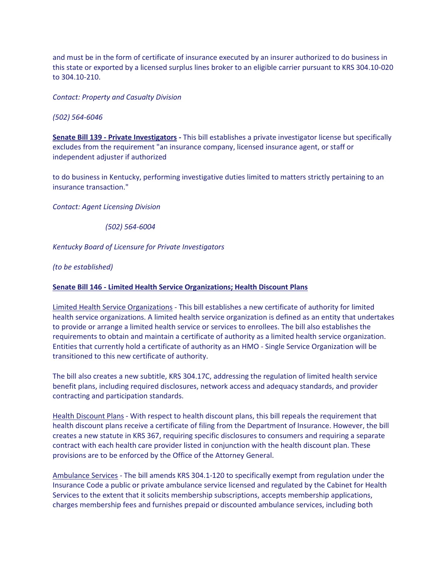and must be in the form of certificate of insurance executed by an insurer authorized to do business in this state or exported by a licensed surplus lines broker to an eligible carrier pursuant to KRS 304.10-020 to 304.10-210.

*Contact: Property and Casualty Division*

*(502) 564-6046*

**Senate Bill 139 - Private Investigators -** This bill establishes a private investigator license but specifically excludes from the requirement "an insurance company, licensed insurance agent, or staff or independent adjuster if authorized

to do business in Kentucky, performing investigative duties limited to matters strictly pertaining to an insurance transaction."

*Contact: Agent Licensing Division*

*(502) 564-6004* 

*Kentucky Board of Licensure for Private Investigators*

*(to be established)*

### **Senate Bill 146 - Limited Health Service Organizations; Health Discount Plans**

Limited Health Service Organizations - This bill establishes a new certificate of authority for limited health service organizations. A limited health service organization is defined as an entity that undertakes to provide or arrange a limited health service or services to enrollees. The bill also establishes the requirements to obtain and maintain a certificate of authority as a limited health service organization. Entities that currently hold a certificate of authority as an HMO - Single Service Organization will be transitioned to this new certificate of authority.

The bill also creates a new subtitle, KRS 304.17C, addressing the regulation of limited health service benefit plans, including required disclosures, network access and adequacy standards, and provider contracting and participation standards.

Health Discount Plans - With respect to health discount plans, this bill repeals the requirement that health discount plans receive a certificate of filing from the Department of Insurance. However, the bill creates a new statute in KRS 367, requiring specific disclosures to consumers and requiring a separate contract with each health care provider listed in conjunction with the health discount plan. These provisions are to be enforced by the Office of the Attorney General.

Ambulance Services - The bill amends KRS 304.1-120 to specifically exempt from regulation under the Insurance Code a public or private ambulance service licensed and regulated by the Cabinet for Health Services to the extent that it solicits membership subscriptions, accepts membership applications, charges membership fees and furnishes prepaid or discounted ambulance services, including both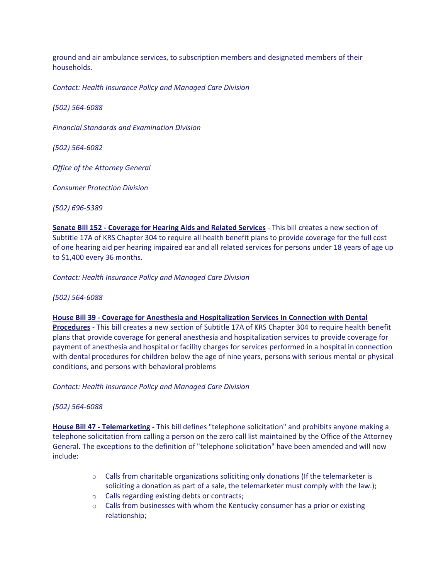ground and air ambulance services, to subscription members and designated members of their households.

*Contact: Health Insurance Policy and Managed Care Division*

*(502) 564-6088*

*Financial Standards and Examination Division*

*(502) 564-6082*

*Office of the Attorney General*

*Consumer Protection Division*

*(502) 696-5389*

**Senate Bill 152 - Coverage for Hearing Aids and Related Services** - This bill creates a new section of Subtitle 17A of KRS Chapter 304 to require all health benefit plans to provide coverage for the full cost of one hearing aid per hearing impaired ear and all related services for persons under 18 years of age up to \$1,400 every 36 months.

*Contact: Health Insurance Policy and Managed Care Division*

*(502) 564-6088*

**House Bill 39 - Coverage for Anesthesia and Hospitalization Services In Connection with Dental** 

**Procedures** - This bill creates a new section of Subtitle 17A of KRS Chapter 304 to require health benefit plans that provide coverage for general anesthesia and hospitalization services to provide coverage for payment of anesthesia and hospital or facility charges for services performed in a hospital in connection with dental procedures for children below the age of nine years, persons with serious mental or physical conditions, and persons with behavioral problems

*Contact: Health Insurance Policy and Managed Care Division*

*(502) 564-6088*

**House Bill 47 - Telemarketing -** This bill defines "telephone solicitation" and prohibits anyone making a telephone solicitation from calling a person on the zero call list maintained by the Office of the Attorney General. The exceptions to the definition of "telephone solicitation" have been amended and will now include:

- $\circ$  Calls from charitable organizations soliciting only donations (If the telemarketer is soliciting a donation as part of a sale, the telemarketer must comply with the law.);
- o Calls regarding existing debts or contracts;
- $\circ$  Calls from businesses with whom the Kentucky consumer has a prior or existing relationship;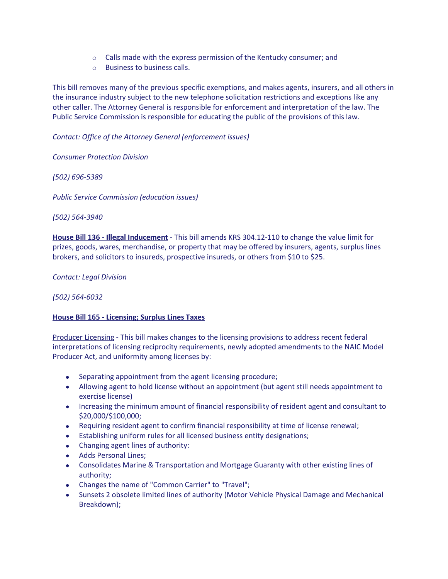- $\circ$  Calls made with the express permission of the Kentucky consumer; and
- o Business to business calls.

This bill removes many of the previous specific exemptions, and makes agents, insurers, and all others in the insurance industry subject to the new telephone solicitation restrictions and exceptions like any other caller. The Attorney General is responsible for enforcement and interpretation of the law. The Public Service Commission is responsible for educating the public of the provisions of this law.

# *Contact: Office of the Attorney General (enforcement issues)*

*Consumer Protection Division*

*(502) 696-5389*

*Public Service Commission (education issues)*

*(502) 564-3940*

**House Bill 136 - Illegal Inducement** - This bill amends KRS 304.12-110 to change the value limit for prizes, goods, wares, merchandise, or property that may be offered by insurers, agents, surplus lines brokers, and solicitors to insureds, prospective insureds, or others from \$10 to \$25.

*Contact: Legal Division*

*(502) 564-6032*

# **House Bill 165 - Licensing; Surplus Lines Taxes**

Producer Licensing - This bill makes changes to the licensing provisions to address recent federal interpretations of licensing reciprocity requirements, newly adopted amendments to the NAIC Model Producer Act, and uniformity among licenses by:

- Separating appointment from the agent licensing procedure;
- Allowing agent to hold license without an appointment (but agent still needs appointment to exercise license)
- Increasing the minimum amount of financial responsibility of resident agent and consultant to \$20,000/\$100,000;
- Requiring resident agent to confirm financial responsibility at time of license renewal;
- Establishing uniform rules for all licensed business entity designations;
- Changing agent lines of authority:
- Adds Personal Lines;
- Consolidates Marine & Transportation and Mortgage Guaranty with other existing lines of authority;
- Changes the name of "Common Carrier" to "Travel";
- Sunsets 2 obsolete limited lines of authority (Motor Vehicle Physical Damage and Mechanical Breakdown);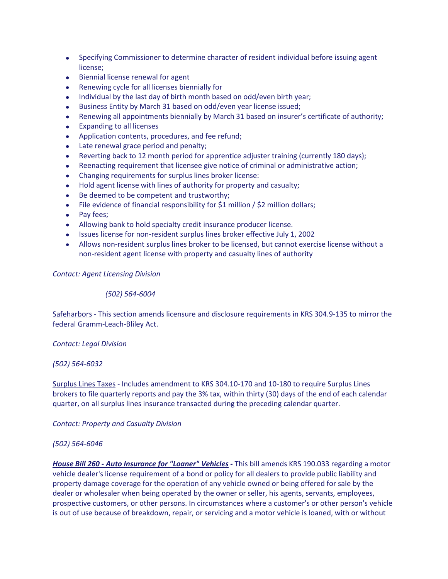- Specifying Commissioner to determine character of resident individual before issuing agent license;
- Biennial license renewal for agent
- Renewing cycle for all licenses biennially for
- Individual by the last day of birth month based on odd/even birth year;
- Business Entity by March 31 based on odd/even year license issued;  $\bullet$
- Renewing all appointments biennially by March 31 based on insurer's certificate of authority;
- Expanding to all licenses
- Application contents, procedures, and fee refund;
- Late renewal grace period and penalty;
- Reverting back to 12 month period for apprentice adjuster training (currently 180 days);  $\bullet$
- Reenacting requirement that licensee give notice of criminal or administrative action;
- Changing requirements for surplus lines broker license:
- Hold agent license with lines of authority for property and casualty;
- Be deemed to be competent and trustworthy;
- File evidence of financial responsibility for \$1 million / \$2 million dollars;
- Pay fees;
- Allowing bank to hold specialty credit insurance producer license.
- Issues license for non-resident surplus lines broker effective July 1, 2002
- Allows non-resident surplus lines broker to be licensed, but cannot exercise license without a non-resident agent license with property and casualty lines of authority

*Contact: Agent Licensing Division*

*(502) 564-6004*

Safeharbors - This section amends licensure and disclosure requirements in KRS 304.9-135 to mirror the federal Gramm-Leach-Bliley Act.

# *Contact: Legal Division*

*(502) 564-6032*

Surplus Lines Taxes - Includes amendment to KRS 304.10-170 and 10-180 to require Surplus Lines brokers to file quarterly reports and pay the 3% tax, within thirty (30) days of the end of each calendar quarter, on all surplus lines insurance transacted during the preceding calendar quarter.

*Contact: Property and Casualty Division*

# *(502) 564-6046*

*House Bill 260 - Auto Insurance for "Loaner" Vehicles -* This bill amends KRS 190.033 regarding a motor vehicle dealer's license requirement of a bond or policy for all dealers to provide public liability and property damage coverage for the operation of any vehicle owned or being offered for sale by the dealer or wholesaler when being operated by the owner or seller, his agents, servants, employees, prospective customers, or other persons. In circumstances where a customer's or other person's vehicle is out of use because of breakdown, repair, or servicing and a motor vehicle is loaned, with or without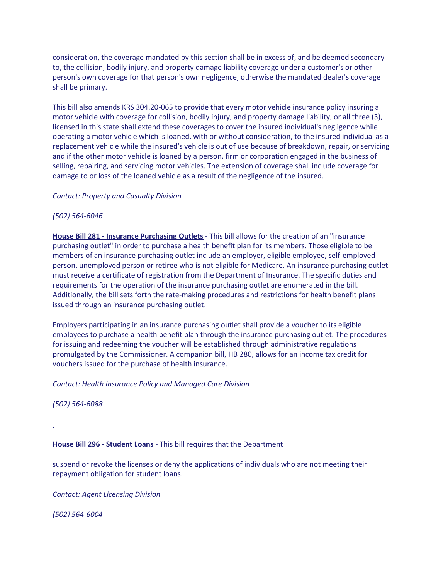consideration, the coverage mandated by this section shall be in excess of, and be deemed secondary to, the collision, bodily injury, and property damage liability coverage under a customer's or other person's own coverage for that person's own negligence, otherwise the mandated dealer's coverage shall be primary.

This bill also amends KRS 304.20-065 to provide that every motor vehicle insurance policy insuring a motor vehicle with coverage for collision, bodily injury, and property damage liability, or all three (3), licensed in this state shall extend these coverages to cover the insured individual's negligence while operating a motor vehicle which is loaned, with or without consideration, to the insured individual as a replacement vehicle while the insured's vehicle is out of use because of breakdown, repair, or servicing and if the other motor vehicle is loaned by a person, firm or corporation engaged in the business of selling, repairing, and servicing motor vehicles. The extension of coverage shall include coverage for damage to or loss of the loaned vehicle as a result of the negligence of the insured.

#### *Contact: Property and Casualty Division*

### *(502) 564-6046*

**House Bill 281 - Insurance Purchasing Outlets** - This bill allows for the creation of an "insurance purchasing outlet" in order to purchase a health benefit plan for its members. Those eligible to be members of an insurance purchasing outlet include an employer, eligible employee, self-employed person, unemployed person or retiree who is not eligible for Medicare. An insurance purchasing outlet must receive a certificate of registration from the Department of Insurance. The specific duties and requirements for the operation of the insurance purchasing outlet are enumerated in the bill. Additionally, the bill sets forth the rate-making procedures and restrictions for health benefit plans issued through an insurance purchasing outlet.

Employers participating in an insurance purchasing outlet shall provide a voucher to its eligible employees to purchase a health benefit plan through the insurance purchasing outlet. The procedures for issuing and redeeming the voucher will be established through administrative regulations promulgated by the Commissioner. A companion bill, HB 280, allows for an income tax credit for vouchers issued for the purchase of health insurance.

*Contact: Health Insurance Policy and Managed Care Division*

*(502) 564-6088*

**House Bill 296 - Student Loans** - This bill requires that the Department

suspend or revoke the licenses or deny the applications of individuals who are not meeting their repayment obligation for student loans.

*Contact: Agent Licensing Division*

*(502) 564-6004*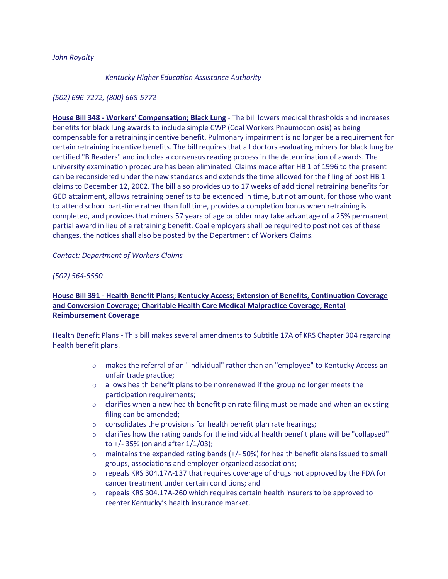### *John Royalty*

#### *Kentucky Higher Education Assistance Authority*

## *(502) 696-7272, (800) 668-5772*

**House Bill 348 - Workers' Compensation; Black Lung** - The bill lowers medical thresholds and increases benefits for black lung awards to include simple CWP (Coal Workers Pneumoconiosis) as being compensable for a retraining incentive benefit. Pulmonary impairment is no longer be a requirement for certain retraining incentive benefits. The bill requires that all doctors evaluating miners for black lung be certified "B Readers" and includes a consensus reading process in the determination of awards. The university examination procedure has been eliminated. Claims made after HB 1 of 1996 to the present can be reconsidered under the new standards and extends the time allowed for the filing of post HB 1 claims to December 12, 2002. The bill also provides up to 17 weeks of additional retraining benefits for GED attainment, allows retraining benefits to be extended in time, but not amount, for those who want to attend school part-time rather than full time, provides a completion bonus when retraining is completed, and provides that miners 57 years of age or older may take advantage of a 25% permanent partial award in lieu of a retraining benefit. Coal employers shall be required to post notices of these changes, the notices shall also be posted by the Department of Workers Claims.

### *Contact: Department of Workers Claims*

### *(502) 564-5550*

# **House Bill 391 - Health Benefit Plans; Kentucky Access; Extension of Benefits, Continuation Coverage and Conversion Coverage; Charitable Health Care Medical Malpractice Coverage; Rental Reimbursement Coverage**

Health Benefit Plans - This bill makes several amendments to Subtitle 17A of KRS Chapter 304 regarding health benefit plans.

- o makes the referral of an "individual" rather than an "employee" to Kentucky Access an unfair trade practice;
- o allows health benefit plans to be nonrenewed if the group no longer meets the participation requirements;
- $\circ$  clarifies when a new health benefit plan rate filing must be made and when an existing filing can be amended;
- $\circ$  consolidates the provisions for health benefit plan rate hearings;
- $\circ$  clarifies how the rating bands for the individual health benefit plans will be "collapsed" to +/- 35% (on and after 1/1/03);
- $\circ$  maintains the expanded rating bands (+/- 50%) for health benefit plans issued to small groups, associations and employer-organized associations;
- $\circ$  repeals KRS 304.17A-137 that requires coverage of drugs not approved by the FDA for cancer treatment under certain conditions; and
- $\circ$  repeals KRS 304.17A-260 which requires certain health insurers to be approved to reenter Kentucky's health insurance market.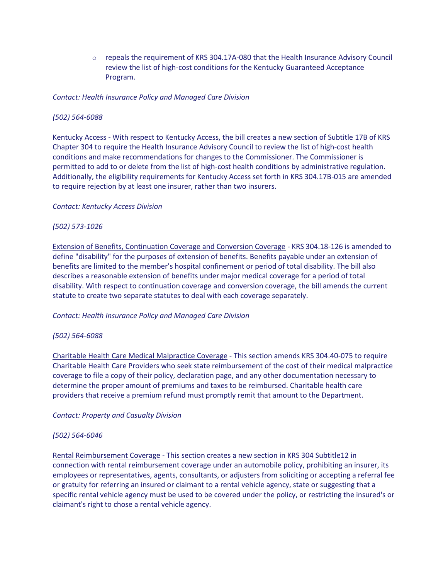$\circ$  repeals the requirement of KRS 304.17A-080 that the Health Insurance Advisory Council review the list of high-cost conditions for the Kentucky Guaranteed Acceptance Program.

# *Contact: Health Insurance Policy and Managed Care Division*

### *(502) 564-6088*

Kentucky Access - With respect to Kentucky Access, the bill creates a new section of Subtitle 17B of KRS Chapter 304 to require the Health Insurance Advisory Council to review the list of high-cost health conditions and make recommendations for changes to the Commissioner. The Commissioner is permitted to add to or delete from the list of high-cost health conditions by administrative regulation. Additionally, the eligibility requirements for Kentucky Access set forth in KRS 304.17B-015 are amended to require rejection by at least one insurer, rather than two insurers.

#### *Contact: Kentucky Access Division*

### *(502) 573-1026*

Extension of Benefits, Continuation Coverage and Conversion Coverage - KRS 304.18-126 is amended to define "disability" for the purposes of extension of benefits. Benefits payable under an extension of benefits are limited to the member's hospital confinement or period of total disability. The bill also describes a reasonable extension of benefits under major medical coverage for a period of total disability. With respect to continuation coverage and conversion coverage, the bill amends the current statute to create two separate statutes to deal with each coverage separately.

#### *Contact: Health Insurance Policy and Managed Care Division*

#### *(502) 564-6088*

Charitable Health Care Medical Malpractice Coverage - This section amends KRS 304.40-075 to require Charitable Health Care Providers who seek state reimbursement of the cost of their medical malpractice coverage to file a copy of their policy, declaration page, and any other documentation necessary to determine the proper amount of premiums and taxes to be reimbursed. Charitable health care providers that receive a premium refund must promptly remit that amount to the Department.

#### *Contact: Property and Casualty Division*

#### *(502) 564-6046*

Rental Reimbursement Coverage - This section creates a new section in KRS 304 Subtitle12 in connection with rental reimbursement coverage under an automobile policy, prohibiting an insurer, its employees or representatives, agents, consultants, or adjusters from soliciting or accepting a referral fee or gratuity for referring an insured or claimant to a rental vehicle agency, state or suggesting that a specific rental vehicle agency must be used to be covered under the policy, or restricting the insured's or claimant's right to chose a rental vehicle agency.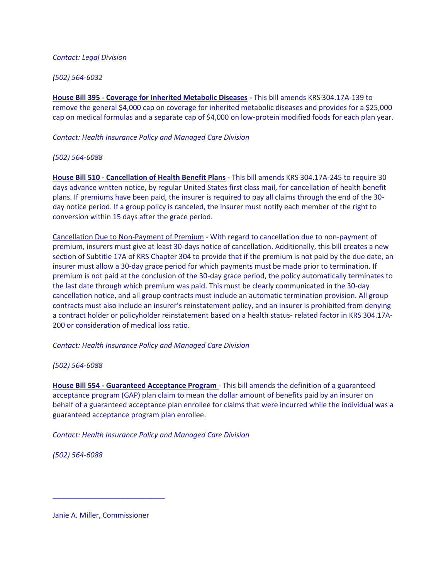### *Contact: Legal Division*

## *(502) 564-6032*

**House Bill 395 - Coverage for Inherited Metabolic Diseases -** This bill amends KRS 304.17A-139 to remove the general \$4,000 cap on coverage for inherited metabolic diseases and provides for a \$25,000 cap on medical formulas and a separate cap of \$4,000 on low-protein modified foods for each plan year.

*Contact: Health Insurance Policy and Managed Care Division*

### *(502) 564-6088*

**House Bill 510 - Cancellation of Health Benefit Plans** - This bill amends KRS 304.17A-245 to require 30 days advance written notice, by regular United States first class mail, for cancellation of health benefit plans. If premiums have been paid, the insurer is required to pay all claims through the end of the 30 day notice period. If a group policy is canceled, the insurer must notify each member of the right to conversion within 15 days after the grace period.

Cancellation Due to Non-Payment of Premium - With regard to cancellation due to non-payment of premium, insurers must give at least 30-days notice of cancellation. Additionally, this bill creates a new section of Subtitle 17A of KRS Chapter 304 to provide that if the premium is not paid by the due date, an insurer must allow a 30-day grace period for which payments must be made prior to termination. If premium is not paid at the conclusion of the 30-day grace period, the policy automatically terminates to the last date through which premium was paid. This must be clearly communicated in the 30-day cancellation notice, and all group contracts must include an automatic termination provision. All group contracts must also include an insurer's reinstatement policy, and an insurer is prohibited from denying a contract holder or policyholder reinstatement based on a health status- related factor in KRS 304.17A-200 or consideration of medical loss ratio.

*Contact: Health Insurance Policy and Managed Care Division*

# *(502) 564-6088*

**House Bill 554 - Guaranteed Acceptance Program** - This bill amends the definition of a guaranteed acceptance program (GAP) plan claim to mean the dollar amount of benefits paid by an insurer on behalf of a guaranteed acceptance plan enrollee for claims that were incurred while the individual was a guaranteed acceptance program plan enrollee.

*Contact: Health Insurance Policy and Managed Care Division*

*(502) 564-6088*

Janie A. Miller, Commissioner

\_\_\_\_\_\_\_\_\_\_\_\_\_\_\_\_\_\_\_\_\_\_\_\_\_\_\_\_